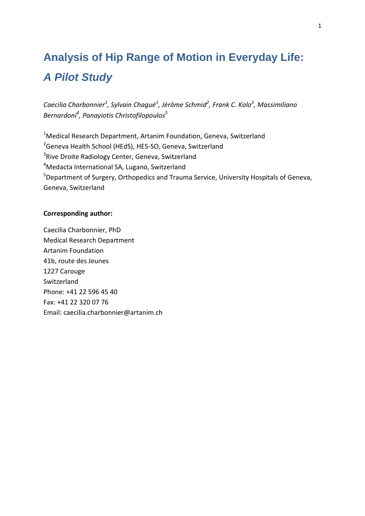# **Analysis of Hip Range of Motion in Everyday Life:**  *A Pilot Study*

*Caecilia Charbonnier<sup>1</sup> , Sylvain Chagué<sup>1</sup> , Jérôme Schmid<sup>2</sup> , Frank C. Kolo<sup>3</sup> , Massimiliano Bernardoni<sup>4</sup> , Panayiotis Christofilopoulos<sup>5</sup>*

<sup>1</sup>Medical Research Department, Artanim Foundation, Geneva, Switzerland <sup>2</sup>Geneva Health School (HEdS), HES-SO, Geneva, Switzerland <sup>3</sup>Rive Droite Radiology Center, Geneva, Switzerland <sup>4</sup>Medacta International SA, Lugano, Switzerland <sup>5</sup>Department of Surgery, Orthopedics and Trauma Service, University Hospitals of Geneva, Geneva, Switzerland

# **Corresponding author:**

Caecilia Charbonnier, PhD Medical Research Department Artanim Foundation 41b, route des Jeunes 1227 Carouge Switzerland Phone: +41 22 596 45 40 Fax: +41 22 320 07 76 Email: caecilia.charbonnier@artanim.ch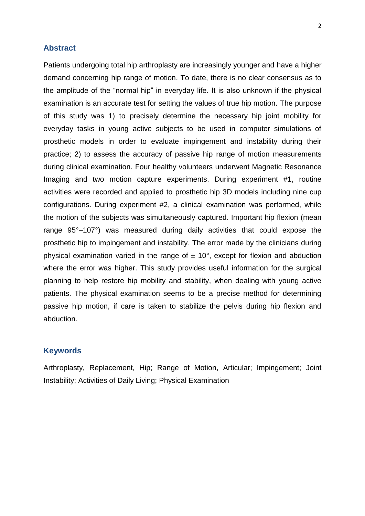# **Abstract**

Patients undergoing total hip arthroplasty are increasingly younger and have a higher demand concerning hip range of motion. To date, there is no clear consensus as to the amplitude of the "normal hip" in everyday life. It is also unknown if the physical examination is an accurate test for setting the values of true hip motion. The purpose of this study was 1) to precisely determine the necessary hip joint mobility for everyday tasks in young active subjects to be used in computer simulations of prosthetic models in order to evaluate impingement and instability during their practice; 2) to assess the accuracy of passive hip range of motion measurements during clinical examination. Four healthy volunteers underwent Magnetic Resonance Imaging and two motion capture experiments. During experiment #1, routine activities were recorded and applied to prosthetic hip 3D models including nine cup configurations. During experiment #2, a clinical examination was performed, while the motion of the subjects was simultaneously captured. Important hip flexion (mean range 95°–107°) was measured during daily activities that could expose the prosthetic hip to impingement and instability. The error made by the clinicians during physical examination varied in the range of  $\pm$  10°, except for flexion and abduction where the error was higher. This study provides useful information for the surgical planning to help restore hip mobility and stability, when dealing with young active patients. The physical examination seems to be a precise method for determining passive hip motion, if care is taken to stabilize the pelvis during hip flexion and abduction.

# **Keywords**

Arthroplasty, Replacement, Hip; Range of Motion, Articular; Impingement; Joint Instability; Activities of Daily Living; Physical Examination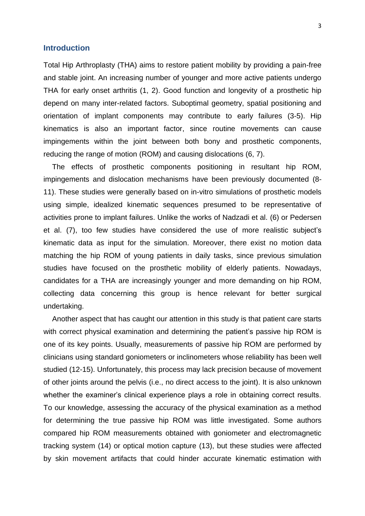# **Introduction**

Total Hip Arthroplasty (THA) aims to restore patient mobility by providing a pain-free and stable joint. An increasing number of younger and more active patients undergo THA for early onset arthritis (1, 2). Good function and longevity of a prosthetic hip depend on many inter-related factors. Suboptimal geometry, spatial positioning and orientation of implant components may contribute to early failures (3-5). Hip kinematics is also an important factor, since routine movements can cause impingements within the joint between both bony and prosthetic components, reducing the range of motion (ROM) and causing dislocations (6, 7).

The effects of prosthetic components positioning in resultant hip ROM, impingements and dislocation mechanisms have been previously documented (8- 11). These studies were generally based on in-vitro simulations of prosthetic models using simple, idealized kinematic sequences presumed to be representative of activities prone to implant failures. Unlike the works of Nadzadi et al. (6) or Pedersen et al. (7), too few studies have considered the use of more realistic subject's kinematic data as input for the simulation. Moreover, there exist no motion data matching the hip ROM of young patients in daily tasks, since previous simulation studies have focused on the prosthetic mobility of elderly patients. Nowadays, candidates for a THA are increasingly younger and more demanding on hip ROM, collecting data concerning this group is hence relevant for better surgical undertaking.

Another aspect that has caught our attention in this study is that patient care starts with correct physical examination and determining the patient's passive hip ROM is one of its key points. Usually, measurements of passive hip ROM are performed by clinicians using standard goniometers or inclinometers whose reliability has been well studied (12-15). Unfortunately, this process may lack precision because of movement of other joints around the pelvis (i.e., no direct access to the joint). It is also unknown whether the examiner's clinical experience plays a role in obtaining correct results. To our knowledge, assessing the accuracy of the physical examination as a method for determining the true passive hip ROM was little investigated. Some authors compared hip ROM measurements obtained with goniometer and electromagnetic tracking system (14) or optical motion capture (13), but these studies were affected by skin movement artifacts that could hinder accurate kinematic estimation with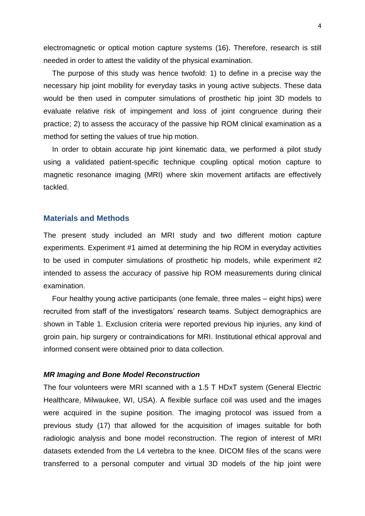electromagnetic or optical motion capture systems (16). Therefore, research is still needed in order to attest the validity of the physical examination.

The purpose of this study was hence twofold: 1) to define in a precise way the necessary hip joint mobility for everyday tasks in young active subjects. These data would be then used in computer simulations of prosthetic hip joint 3D models to evaluate relative risk of impingement and loss of joint congruence during their practice; 2) to assess the accuracy of the passive hip ROM clinical examination as a method for setting the values of true hip motion.

In order to obtain accurate hip joint kinematic data, we performed a pilot study using a validated patient-specific technique coupling optical motion capture to magnetic resonance imaging (MRI) where skin movement artifacts are effectively tackled.

#### **Materials and Methods**

The present study included an MRI study and two different motion capture experiments. Experiment #1 aimed at determining the hip ROM in everyday activities to be used in computer simulations of prosthetic hip models, while experiment #2 intended to assess the accuracy of passive hip ROM measurements during clinical examination.

Four healthy young active participants (one female, three males – eight hips) were recruited from staff of the investigators' research teams. Subject demographics are shown in Table 1. Exclusion criteria were reported previous hip injuries, any kind of groin pain, hip surgery or contraindications for MRI. Institutional ethical approval and informed consent were obtained prior to data collection.

#### *MR Imaging and Bone Model Reconstruction*

The four volunteers were MRI scanned with a 1.5 T HDxT system (General Electric Healthcare, Milwaukee, WI, USA). A flexible surface coil was used and the images were acquired in the supine position. The imaging protocol was issued from a previous study (17) that allowed for the acquisition of images suitable for both radiologic analysis and bone model reconstruction. The region of interest of MRI datasets extended from the L4 vertebra to the knee. DICOM files of the scans were transferred to a personal computer and virtual 3D models of the hip joint were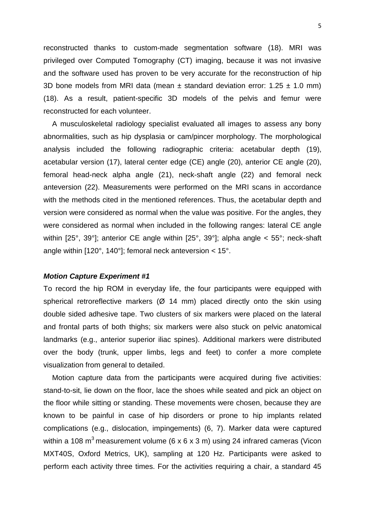reconstructed thanks to custom-made segmentation software (18). MRI was privileged over Computed Tomography (CT) imaging, because it was not invasive and the software used has proven to be very accurate for the reconstruction of hip 3D bone models from MRI data (mean  $\pm$  standard deviation error: 1.25  $\pm$  1.0 mm) (18). As a result, patient-specific 3D models of the pelvis and femur were reconstructed for each volunteer.

A musculoskeletal radiology specialist evaluated all images to assess any bony abnormalities, such as hip dysplasia or cam/pincer morphology. The morphological analysis included the following radiographic criteria: acetabular depth (19), acetabular version (17), lateral center edge (CE) angle (20), anterior CE angle (20), femoral head-neck alpha angle (21), neck-shaft angle (22) and femoral neck anteversion (22). Measurements were performed on the MRI scans in accordance with the methods cited in the mentioned references. Thus, the acetabular depth and version were considered as normal when the value was positive. For the angles, they were considered as normal when included in the following ranges: lateral CE angle within [25°, 39°]; anterior CE angle within [25°, 39°]; alpha angle < 55°; neck-shaft angle within [120°, 140°]; femoral neck anteversion < 15°.

#### *Motion Capture Experiment #1*

To record the hip ROM in everyday life, the four participants were equipped with spherical retroreflective markers ( $\varnothing$  14 mm) placed directly onto the skin using double sided adhesive tape. Two clusters of six markers were placed on the lateral and frontal parts of both thighs; six markers were also stuck on pelvic anatomical landmarks (e.g., anterior superior iliac spines). Additional markers were distributed over the body (trunk, upper limbs, legs and feet) to confer a more complete visualization from general to detailed.

Motion capture data from the participants were acquired during five activities: stand-to-sit, lie down on the floor, lace the shoes while seated and pick an object on the floor while sitting or standing. These movements were chosen, because they are known to be painful in case of hip disorders or prone to hip implants related complications (e.g., dislocation, impingements) (6, 7). Marker data were captured within a 108 m<sup>3</sup> measurement volume (6 x 6 x 3 m) using 24 infrared cameras (Vicon MXT40S, Oxford Metrics, UK), sampling at 120 Hz. Participants were asked to perform each activity three times. For the activities requiring a chair, a standard 45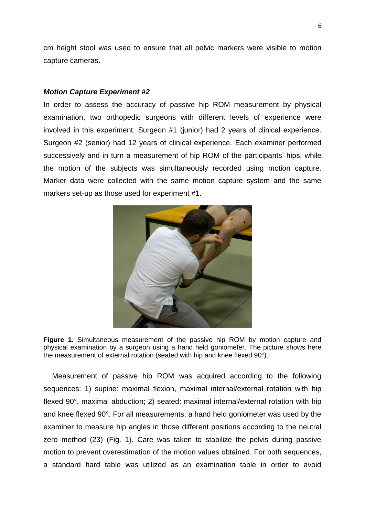cm height stool was used to ensure that all pelvic markers were visible to motion capture cameras.

# *Motion Capture Experiment #2*

In order to assess the accuracy of passive hip ROM measurement by physical examination, two orthopedic surgeons with different levels of experience were involved in this experiment. Surgeon #1 (junior) had 2 years of clinical experience. Surgeon #2 (senior) had 12 years of clinical experience. Each examiner performed successively and in turn a measurement of hip ROM of the participants' hips, while the motion of the subjects was simultaneously recorded using motion capture. Marker data were collected with the same motion capture system and the same markers set-up as those used for experiment #1.



**Figure 1.** Simultaneous measurement of the passive hip ROM by motion capture and physical examination by a surgeon using a hand held goniometer. The picture shows here the measurement of external rotation (seated with hip and knee flexed 90°).

Measurement of passive hip ROM was acquired according to the following sequences: 1) supine: maximal flexion, maximal internal/external rotation with hip flexed 90°, maximal abduction; 2) seated: maximal internal/external rotation with hip and knee flexed 90°. For all measurements, a hand held goniometer was used by the examiner to measure hip angles in those different positions according to the neutral zero method (23) (Fig. 1). Care was taken to stabilize the pelvis during passive motion to prevent overestimation of the motion values obtained. For both sequences, a standard hard table was utilized as an examination table in order to avoid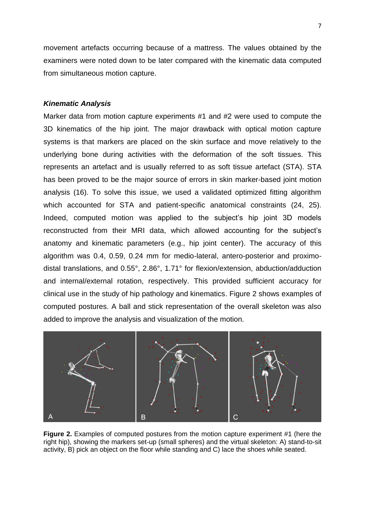movement artefacts occurring because of a mattress. The values obtained by the examiners were noted down to be later compared with the kinematic data computed from simultaneous motion capture.

# *Kinematic Analysis*

Marker data from motion capture experiments #1 and #2 were used to compute the 3D kinematics of the hip joint. The major drawback with optical motion capture systems is that markers are placed on the skin surface and move relatively to the underlying bone during activities with the deformation of the soft tissues. This represents an artefact and is usually referred to as soft tissue artefact (STA). STA has been proved to be the major source of errors in skin marker-based joint motion analysis (16). To solve this issue, we used a validated optimized fitting algorithm which accounted for STA and patient-specific anatomical constraints (24, 25). Indeed, computed motion was applied to the subject's hip joint 3D models reconstructed from their MRI data, which allowed accounting for the subject's anatomy and kinematic parameters (e.g., hip joint center). The accuracy of this algorithm was 0.4, 0.59, 0.24 mm for medio-lateral, antero-posterior and proximodistal translations, and 0.55°, 2.86°, 1.71° for flexion/extension, abduction/adduction and internal/external rotation, respectively. This provided sufficient accuracy for clinical use in the study of hip pathology and kinematics. Figure 2 shows examples of computed postures. A ball and stick representation of the overall skeleton was also added to improve the analysis and visualization of the motion.



**Figure 2.** Examples of computed postures from the motion capture experiment #1 (here the right hip), showing the markers set-up (small spheres) and the virtual skeleton: A) stand-to-sit activity, B) pick an object on the floor while standing and C) lace the shoes while seated.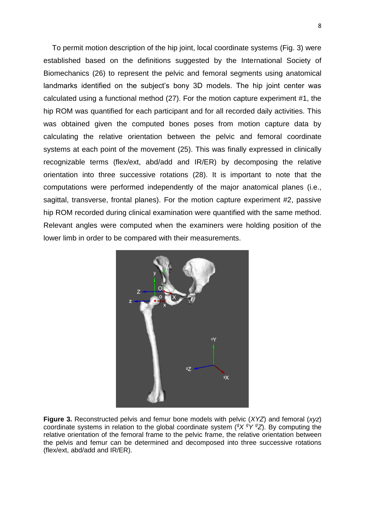To permit motion description of the hip joint, local coordinate systems (Fig. 3) were established based on the definitions suggested by the International Society of Biomechanics (26) to represent the pelvic and femoral segments using anatomical landmarks identified on the subject's bony 3D models. The hip joint center was calculated using a functional method (27). For the motion capture experiment #1, the hip ROM was quantified for each participant and for all recorded daily activities. This was obtained given the computed bones poses from motion capture data by calculating the relative orientation between the pelvic and femoral coordinate systems at each point of the movement (25). This was finally expressed in clinically recognizable terms (flex/ext, abd/add and IR/ER) by decomposing the relative orientation into three successive rotations (28). It is important to note that the computations were performed independently of the major anatomical planes (i.e., sagittal, transverse, frontal planes). For the motion capture experiment #2, passive hip ROM recorded during clinical examination were quantified with the same method. Relevant angles were computed when the examiners were holding position of the lower limb in order to be compared with their measurements.



**Figure 3.** Reconstructed pelvis and femur bone models with pelvic (*XYZ*) and femoral (*xyz*) coordinate systems in relation to the global coordinate system (*<sup>g</sup>X <sup>g</sup>Y <sup>g</sup>Z*). By computing the relative orientation of the femoral frame to the pelvic frame, the relative orientation between the pelvis and femur can be determined and decomposed into three successive rotations (flex/ext, abd/add and IR/ER).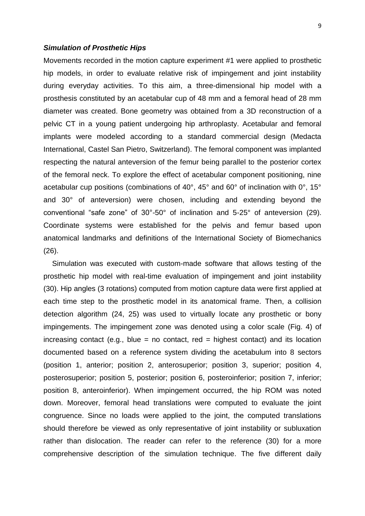#### *Simulation of Prosthetic Hips*

Movements recorded in the motion capture experiment #1 were applied to prosthetic hip models, in order to evaluate relative risk of impingement and joint instability during everyday activities. To this aim, a three-dimensional hip model with a prosthesis constituted by an acetabular cup of 48 mm and a femoral head of 28 mm diameter was created. Bone geometry was obtained from a 3D reconstruction of a pelvic CT in a young patient undergoing hip arthroplasty. Acetabular and femoral implants were modeled according to a standard commercial design (Medacta International, Castel San Pietro, Switzerland). The femoral component was implanted respecting the natural anteversion of the femur being parallel to the posterior cortex of the femoral neck. To explore the effect of acetabular component positioning, nine acetabular cup positions (combinations of 40°, 45° and 60° of inclination with 0°, 15° and 30° of anteversion) were chosen, including and extending beyond the conventional "safe zone" of 30°-50° of inclination and 5-25° of anteversion (29). Coordinate systems were established for the pelvis and femur based upon anatomical landmarks and definitions of the International Society of Biomechanics (26).

Simulation was executed with custom-made software that allows testing of the prosthetic hip model with real-time evaluation of impingement and joint instability (30). Hip angles (3 rotations) computed from motion capture data were first applied at each time step to the prosthetic model in its anatomical frame. Then, a collision detection algorithm (24, 25) was used to virtually locate any prosthetic or bony impingements. The impingement zone was denoted using a color scale (Fig. 4) of increasing contact (e.g., blue = no contact, red = highest contact) and its location documented based on a reference system dividing the acetabulum into 8 sectors (position 1, anterior; position 2, anterosuperior; position 3, superior; position 4, posterosuperior; position 5, posterior; position 6, posteroinferior; position 7, inferior; position 8, anteroinferior). When impingement occurred, the hip ROM was noted down. Moreover, femoral head translations were computed to evaluate the joint congruence. Since no loads were applied to the joint, the computed translations should therefore be viewed as only representative of joint instability or subluxation rather than dislocation. The reader can refer to the reference (30) for a more comprehensive description of the simulation technique. The five different daily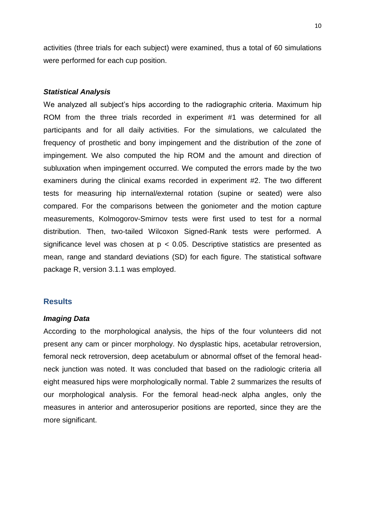activities (three trials for each subject) were examined, thus a total of 60 simulations were performed for each cup position.

# *Statistical Analysis*

We analyzed all subject's hips according to the radiographic criteria. Maximum hip ROM from the three trials recorded in experiment #1 was determined for all participants and for all daily activities. For the simulations, we calculated the frequency of prosthetic and bony impingement and the distribution of the zone of impingement. We also computed the hip ROM and the amount and direction of subluxation when impingement occurred. We computed the errors made by the two examiners during the clinical exams recorded in experiment #2. The two different tests for measuring hip internal/external rotation (supine or seated) were also compared. For the comparisons between the goniometer and the motion capture measurements, Kolmogorov-Smirnov tests were first used to test for a normal distribution. Then, two-tailed Wilcoxon Signed-Rank tests were performed. A significance level was chosen at  $p < 0.05$ . Descriptive statistics are presented as mean, range and standard deviations (SD) for each figure. The statistical software package R, version 3.1.1 was employed.

# **Results**

#### *Imaging Data*

According to the morphological analysis, the hips of the four volunteers did not present any cam or pincer morphology. No dysplastic hips, acetabular retroversion, femoral neck retroversion, deep acetabulum or abnormal offset of the femoral headneck junction was noted. It was concluded that based on the radiologic criteria all eight measured hips were morphologically normal. Table 2 summarizes the results of our morphological analysis. For the femoral head-neck alpha angles, only the measures in anterior and anterosuperior positions are reported, since they are the more significant.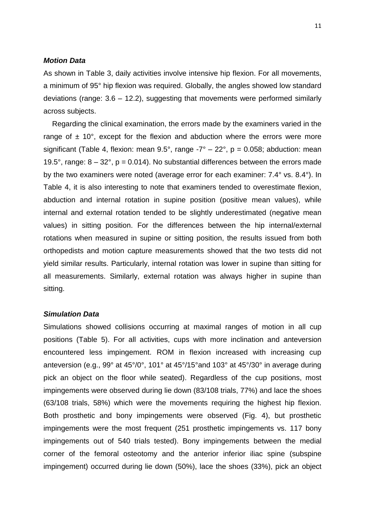#### *Motion Data*

As shown in Table 3, daily activities involve intensive hip flexion. For all movements, a minimum of 95° hip flexion was required. Globally, the angles showed low standard deviations (range: 3.6 – 12.2), suggesting that movements were performed similarly across subjects.

Regarding the clinical examination, the errors made by the examiners varied in the range of  $\pm$  10°, except for the flexion and abduction where the errors were more significant (Table 4, flexion: mean  $9.5^{\circ}$ , range  $-7^{\circ} - 22^{\circ}$ , p = 0.058; abduction: mean 19.5°, range:  $8 - 32$ °,  $p = 0.014$ ). No substantial differences between the errors made by the two examiners were noted (average error for each examiner: 7.4° vs. 8.4°). In Table 4, it is also interesting to note that examiners tended to overestimate flexion, abduction and internal rotation in supine position (positive mean values), while internal and external rotation tended to be slightly underestimated (negative mean values) in sitting position. For the differences between the hip internal/external rotations when measured in supine or sitting position, the results issued from both orthopedists and motion capture measurements showed that the two tests did not yield similar results. Particularly, internal rotation was lower in supine than sitting for all measurements. Similarly, external rotation was always higher in supine than sitting.

#### *Simulation Data*

Simulations showed collisions occurring at maximal ranges of motion in all cup positions (Table 5). For all activities, cups with more inclination and anteversion encountered less impingement. ROM in flexion increased with increasing cup anteversion (e.g., 99° at 45°/0°, 101° at 45°/15°and 103° at 45°/30° in average during pick an object on the floor while seated). Regardless of the cup positions, most impingements were observed during lie down (83/108 trials, 77%) and lace the shoes (63/108 trials, 58%) which were the movements requiring the highest hip flexion. Both prosthetic and bony impingements were observed (Fig. 4), but prosthetic impingements were the most frequent (251 prosthetic impingements vs. 117 bony impingements out of 540 trials tested). Bony impingements between the medial corner of the femoral osteotomy and the anterior inferior iliac spine (subspine impingement) occurred during lie down (50%), lace the shoes (33%), pick an object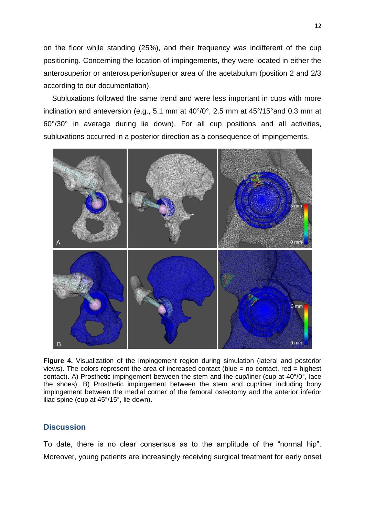on the floor while standing (25%), and their frequency was indifferent of the cup positioning. Concerning the location of impingements, they were located in either the anterosuperior or anterosuperior/superior area of the acetabulum (position 2 and 2/3 according to our documentation).

Subluxations followed the same trend and were less important in cups with more inclination and anteversion (e.g., 5.1 mm at 40°/0°, 2.5 mm at 45°/15°and 0.3 mm at 60°/30° in average during lie down). For all cup positions and all activities, subluxations occurred in a posterior direction as a consequence of impingements.



**Figure 4.** Visualization of the impingement region during simulation (lateral and posterior views). The colors represent the area of increased contact (blue = no contact, red = highest contact). A) Prosthetic impingement between the stem and the cup/liner (cup at 40°/0°, lace the shoes). B) Prosthetic impingement between the stem and cup/liner including bony impingement between the medial corner of the femoral osteotomy and the anterior inferior iliac spine (cup at 45°/15°, lie down).

# **Discussion**

To date, there is no clear consensus as to the amplitude of the "normal hip". Moreover, young patients are increasingly receiving surgical treatment for early onset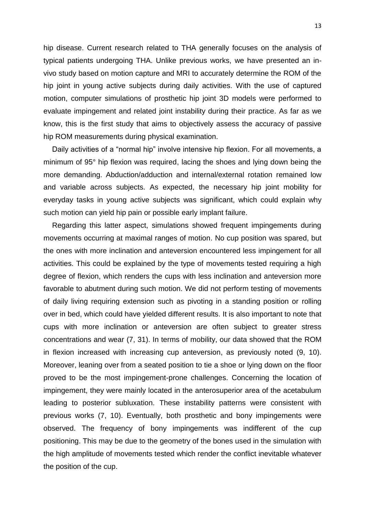hip disease. Current research related to THA generally focuses on the analysis of typical patients undergoing THA. Unlike previous works, we have presented an invivo study based on motion capture and MRI to accurately determine the ROM of the hip joint in young active subjects during daily activities. With the use of captured motion, computer simulations of prosthetic hip joint 3D models were performed to evaluate impingement and related joint instability during their practice. As far as we know, this is the first study that aims to objectively assess the accuracy of passive hip ROM measurements during physical examination.

Daily activities of a "normal hip" involve intensive hip flexion. For all movements, a minimum of 95° hip flexion was required, lacing the shoes and lying down being the more demanding. Abduction/adduction and internal/external rotation remained low and variable across subjects. As expected, the necessary hip joint mobility for everyday tasks in young active subjects was significant, which could explain why such motion can yield hip pain or possible early implant failure.

Regarding this latter aspect, simulations showed frequent impingements during movements occurring at maximal ranges of motion. No cup position was spared, but the ones with more inclination and anteversion encountered less impingement for all activities. This could be explained by the type of movements tested requiring a high degree of flexion, which renders the cups with less inclination and anteversion more favorable to abutment during such motion. We did not perform testing of movements of daily living requiring extension such as pivoting in a standing position or rolling over in bed, which could have yielded different results. It is also important to note that cups with more inclination or anteversion are often subject to greater stress concentrations and wear (7, 31). In terms of mobility, our data showed that the ROM in flexion increased with increasing cup anteversion, as previously noted (9, 10). Moreover, leaning over from a seated position to tie a shoe or lying down on the floor proved to be the most impingement-prone challenges. Concerning the location of impingement, they were mainly located in the anterosuperior area of the acetabulum leading to posterior subluxation. These instability patterns were consistent with previous works (7, 10). Eventually, both prosthetic and bony impingements were observed. The frequency of bony impingements was indifferent of the cup positioning. This may be due to the geometry of the bones used in the simulation with the high amplitude of movements tested which render the conflict inevitable whatever the position of the cup.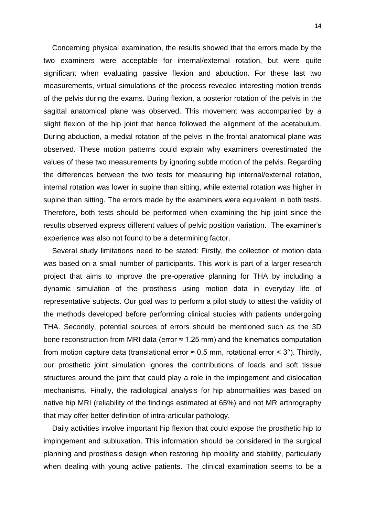Concerning physical examination, the results showed that the errors made by the two examiners were acceptable for internal/external rotation, but were quite significant when evaluating passive flexion and abduction. For these last two measurements, virtual simulations of the process revealed interesting motion trends of the pelvis during the exams. During flexion, a posterior rotation of the pelvis in the sagittal anatomical plane was observed. This movement was accompanied by a slight flexion of the hip joint that hence followed the alignment of the acetabulum. During abduction, a medial rotation of the pelvis in the frontal anatomical plane was observed. These motion patterns could explain why examiners overestimated the values of these two measurements by ignoring subtle motion of the pelvis. Regarding the differences between the two tests for measuring hip internal/external rotation, internal rotation was lower in supine than sitting, while external rotation was higher in supine than sitting. The errors made by the examiners were equivalent in both tests. Therefore, both tests should be performed when examining the hip joint since the results observed express different values of pelvic position variation. The examiner's experience was also not found to be a determining factor.

Several study limitations need to be stated: Firstly, the collection of motion data was based on a small number of participants. This work is part of a larger research project that aims to improve the pre-operative planning for THA by including a dynamic simulation of the prosthesis using motion data in everyday life of representative subjects. Our goal was to perform a pilot study to attest the validity of the methods developed before performing clinical studies with patients undergoing THA. Secondly, potential sources of errors should be mentioned such as the 3D bone reconstruction from MRI data (error  $\approx$  1.25 mm) and the kinematics computation from motion capture data (translational error  $\approx 0.5$  mm, rotational error  $\leq 3^{\circ}$ ). Thirdly, our prosthetic joint simulation ignores the contributions of loads and soft tissue structures around the joint that could play a role in the impingement and dislocation mechanisms. Finally, the radiological analysis for hip abnormalities was based on native hip MRI (reliability of the findings estimated at 65%) and not MR arthrography that may offer better definition of intra-articular pathology.

Daily activities involve important hip flexion that could expose the prosthetic hip to impingement and subluxation. This information should be considered in the surgical planning and prosthesis design when restoring hip mobility and stability, particularly when dealing with young active patients. The clinical examination seems to be a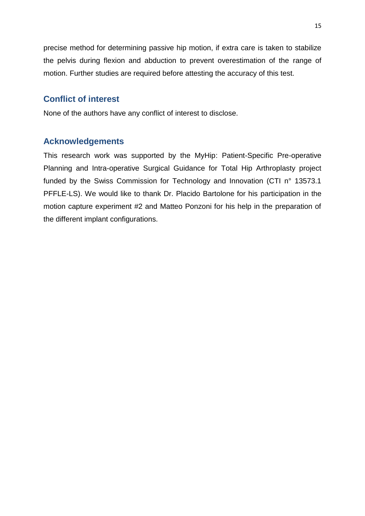precise method for determining passive hip motion, if extra care is taken to stabilize the pelvis during flexion and abduction to prevent overestimation of the range of motion. Further studies are required before attesting the accuracy of this test.

# **Conflict of interest**

None of the authors have any conflict of interest to disclose.

# **Acknowledgements**

This research work was supported by the MyHip: Patient-Specific Pre-operative Planning and Intra-operative Surgical Guidance for Total Hip Arthroplasty project funded by the Swiss Commission for Technology and Innovation (CTI n° 13573.1 PFFLE-LS). We would like to thank Dr. Placido Bartolone for his participation in the motion capture experiment #2 and Matteo Ponzoni for his help in the preparation of the different implant configurations.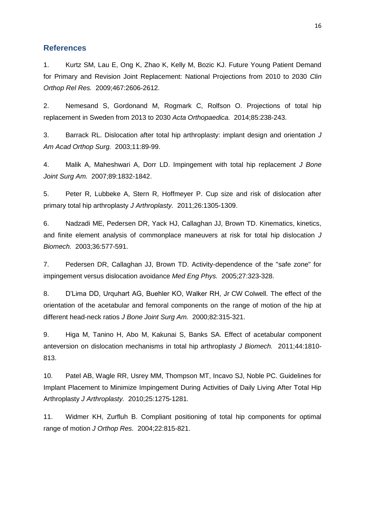# **References**

1. Kurtz SM, Lau E, Ong K, Zhao K, Kelly M, Bozic KJ. Future Young Patient Demand for Primary and Revision Joint Replacement: National Projections from 2010 to 2030 *Clin Orthop Rel Res.* 2009;467:2606-2612.

2. Nemesand S, Gordonand M, Rogmark C, Rolfson O. Projections of total hip replacement in Sweden from 2013 to 2030 *Acta Orthopaedica.* 2014;85:238-243.

3. Barrack RL. Dislocation after total hip arthroplasty: implant design and orientation *J Am Acad Orthop Surg.* 2003;11:89-99.

4. Malik A, Maheshwari A, Dorr LD. Impingement with total hip replacement *J Bone Joint Surg Am.* 2007;89:1832-1842.

5. Peter R, Lubbeke A, Stern R, Hoffmeyer P. Cup size and risk of dislocation after primary total hip arthroplasty *J Arthroplasty.* 2011;26:1305-1309.

6. Nadzadi ME, Pedersen DR, Yack HJ, Callaghan JJ, Brown TD. Kinematics, kinetics, and finite element analysis of commonplace maneuvers at risk for total hip dislocation *J Biomech.* 2003;36:577-591.

7. Pedersen DR, Callaghan JJ, Brown TD. Activity-dependence of the "safe zone" for impingement versus dislocation avoidance *Med Eng Phys.* 2005;27:323-328.

8. D'Lima DD, Urquhart AG, Buehler KO, Walker RH, Jr CW Colwell. The effect of the orientation of the acetabular and femoral components on the range of motion of the hip at different head-neck ratios *J Bone Joint Surg Am.* 2000;82:315-321.

9. Higa M, Tanino H, Abo M, Kakunai S, Banks SA. Effect of acetabular component anteversion on dislocation mechanisms in total hip arthroplasty *J Biomech.* 2011;44:1810- 813.

10. Patel AB, Wagle RR, Usrey MM, Thompson MT, Incavo SJ, Noble PC. Guidelines for Implant Placement to Minimize Impingement During Activities of Daily Living After Total Hip Arthroplasty *J Arthroplasty.* 2010;25:1275-1281.

11. Widmer KH, Zurfluh B. Compliant positioning of total hip components for optimal range of motion *J Orthop Res.* 2004;22:815-821.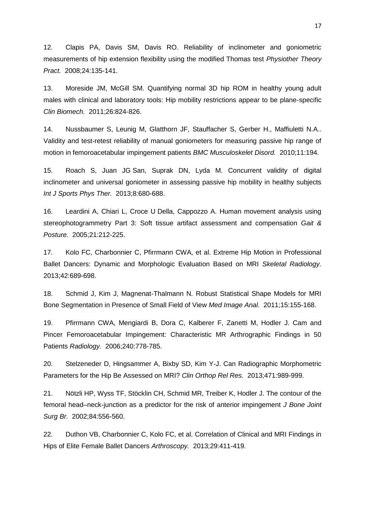12. Clapis PA, Davis SM, Davis RO. Reliability of inclinometer and goniometric measurements of hip extension flexibility using the modified Thomas test *Physiother Theory Pract.* 2008;24:135-141.

13. Moreside JM, McGill SM. Quantifying normal 3D hip ROM in healthy young adult males with clinical and laboratory tools: Hip mobility restrictions appear to be plane-specific *Clin Biomech.* 2011;26:824-826.

14. Nussbaumer S, Leunig M, Glatthorn JF, Stauffacher S, Gerber H., Maffiuletti N.A.. Validity and test-retest reliability of manual goniometers for measuring passive hip range of motion in femoroacetabular impingement patients *BMC Musculoskelet Disord.* 2010;11:194.

15. Roach S, Juan JG San, Suprak DN, Lyda M. Concurrent validity of digital inclinometer and universal goniometer in assessing passive hip mobility in healthy subjects *Int J Sports Phys Ther.* 2013;8:680-688.

16. Leardini A, Chiari L, Croce U Della, Cappozzo A. Human movement analysis using stereophotogrammetry Part 3: Soft tissue artifact assessment and compensation *Gait & Posture.* 2005;21:212-225.

17. Kolo FC, Charbonnier C, Pfirrmann CWA, et al. Extreme Hip Motion in Professional Ballet Dancers: Dynamic and Morphologic Evaluation Based on MRI *Skeletal Radiology.*  2013;42:689-698.

18. Schmid J, Kim J, Magnenat-Thalmann N. Robust Statistical Shape Models for MRI Bone Segmentation in Presence of Small Field of View *Med Image Anal.* 2011;15:155-168.

19. Pfirrmann CWA, Mengiardi B, Dora C, Kalberer F, Zanetti M, Hodler J. Cam and Pincer Femoroacetabular Impingement: Characteristic MR Arthrographic Findings in 50 Patients *Radiology.* 2006;240:778-785.

20. Stelzeneder D, Hingsammer A, Bixby SD, Kim Y-J. Can Radiographic Morphometric Parameters for the Hip Be Assessed on MRI? *Clin Orthop Rel Res.* 2013;471:989-999.

21. Nötzli HP, Wyss TF, Stöcklin CH, Schmid MR, Treiber K, Hodler J. The contour of the femoral head–neck-junction as a predictor for the risk of anterior impingement *J Bone Joint Surg Br.* 2002;84:556-560.

22. Duthon VB, Charbonnier C, Kolo FC, et al. Correlation of Clinical and MRI Findings in Hips of Elite Female Ballet Dancers *Arthroscopy.* 2013;29:411-419.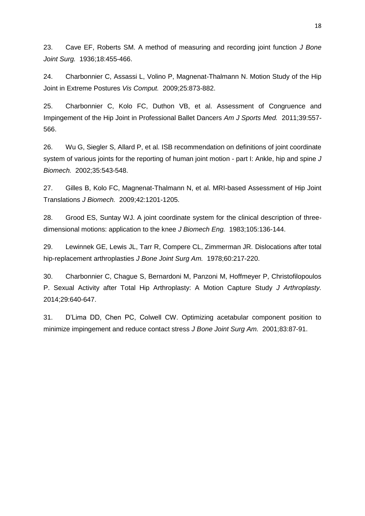23. Cave EF, Roberts SM. A method of measuring and recording joint function *J Bone Joint Surg.* 1936;18:455-466.

24. Charbonnier C, Assassi L, Volino P, Magnenat-Thalmann N. Motion Study of the Hip Joint in Extreme Postures *Vis Comput.* 2009;25:873-882.

25. Charbonnier C, Kolo FC, Duthon VB, et al. Assessment of Congruence and Impingement of the Hip Joint in Professional Ballet Dancers *Am J Sports Med.* 2011;39:557- 566.

26. Wu G, Siegler S, Allard P, et al. ISB recommendation on definitions of joint coordinate system of various joints for the reporting of human joint motion - part I: Ankle, hip and spine *J Biomech.* 2002;35:543-548.

27. Gilles B, Kolo FC, Magnenat-Thalmann N, et al. MRI-based Assessment of Hip Joint Translations *J Biomech.* 2009;42:1201-1205.

28. Grood ES, Suntay WJ. A joint coordinate system for the clinical description of threedimensional motions: application to the knee *J Biomech Eng.* 1983;105:136-144.

29. Lewinnek GE, Lewis JL, Tarr R, Compere CL, Zimmerman JR. Dislocations after total hip-replacement arthroplasties *J Bone Joint Surg Am.* 1978;60:217-220.

30. Charbonnier C, Chague S, Bernardoni M, Panzoni M, Hoffmeyer P, Christofilopoulos P. Sexual Activity after Total Hip Arthroplasty: A Motion Capture Study *J Arthroplasty.*  2014;29:640-647.

31. D'Lima DD, Chen PC, Colwell CW. Optimizing acetabular component position to minimize impingement and reduce contact stress *J Bone Joint Surg Am.* 2001;83:87-91.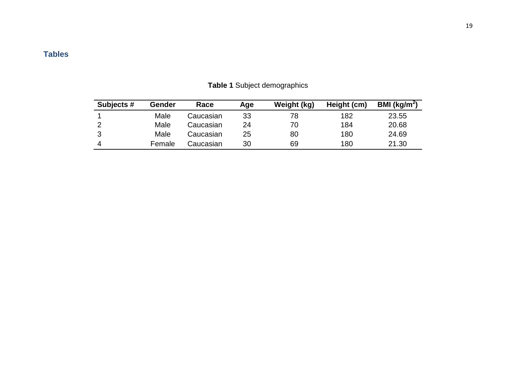| Subjects # | Gender | Race      | Age | Weight (kg) | Height (cm) | BMI ( $\text{kg/m}^2$ ) |
|------------|--------|-----------|-----|-------------|-------------|-------------------------|
|            | Male   | Caucasian | 33  | 78          | 182         | 23.55                   |
|            | Male   | Caucasian | 24  | 70          | 184         | 20.68                   |
|            | Male   | Caucasian | 25  | 80          | 180         | 24.69                   |
| 4          | Female | Caucasian | 30  | 69          | 180         | 21.30                   |

**Table 1** Subject demographics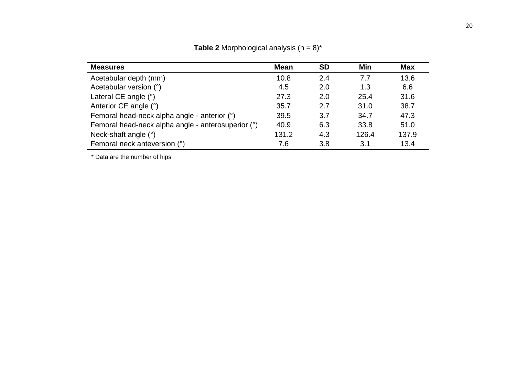| <b>Measures</b>                                    | <b>Mean</b> | <b>SD</b> | Min   | <b>Max</b> |
|----------------------------------------------------|-------------|-----------|-------|------------|
| Acetabular depth (mm)                              | 10.8        | 2.4       | 7.7   | 13.6       |
| Acetabular version (°)                             | 4.5         | 2.0       | 1.3   | 6.6        |
| Lateral CE angle $(°)$                             | 27.3        | 2.0       | 25.4  | 31.6       |
| Anterior CE angle (°)                              | 35.7        | 2.7       | 31.0  | 38.7       |
| Femoral head-neck alpha angle - anterior (°)       | 39.5        | 3.7       | 34.7  | 47.3       |
| Femoral head-neck alpha angle - anterosuperior (°) | 40.9        | 6.3       | 33.8  | 51.0       |
| Neck-shaft angle (°)                               | 131.2       | 4.3       | 126.4 | 137.9      |
| Femoral neck anteversion (°)                       | 7.6         | 3.8       | 3.1   | 13.4       |

**Table 2** Morphological analysis  $(n = 8)^*$ 

\* Data are the number of hips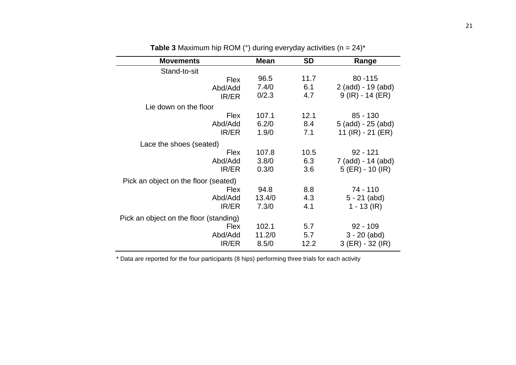| <b>Movements</b>                       | <b>Mean</b> | <b>SD</b> | Range              |  |  |  |
|----------------------------------------|-------------|-----------|--------------------|--|--|--|
| Stand-to-sit                           |             |           |                    |  |  |  |
| Flex                                   | 96.5        | 11.7      | $80 - 115$         |  |  |  |
| Abd/Add                                | 7.4/0       | 6.1       | 2 (add) - 19 (abd) |  |  |  |
| IR/ER                                  | 0/2.3       | 4.7       | $9$ (IR) - 14 (ER) |  |  |  |
| Lie down on the floor                  |             |           |                    |  |  |  |
| Flex                                   | 107.1       | 12.1      | $85 - 130$         |  |  |  |
| Abd/Add                                | 6.2/0       | 8.4       | 5 (add) - 25 (abd) |  |  |  |
| IR/ER                                  | 1.9/0       | 7.1       | 11 (IR) - 21 (ER)  |  |  |  |
| Lace the shoes (seated)                |             |           |                    |  |  |  |
| Flex                                   | 107.8       | 10.5      | $92 - 121$         |  |  |  |
| Abd/Add                                | 3.8/0       | 6.3       | 7 (add) - 14 (abd) |  |  |  |
| IR/ER                                  | 0.3/0       | 3.6       | $5$ (ER) - 10 (IR) |  |  |  |
| Pick an object on the floor (seated)   |             |           |                    |  |  |  |
| Flex                                   | 94.8        | 8.8       | 74 - 110           |  |  |  |
| Abd/Add                                | 13.4/0      | 4.3       | $5 - 21$ (abd)     |  |  |  |
| IR/ER                                  | 7.3/0       | 4.1       | $1 - 13$ (IR)      |  |  |  |
| Pick an object on the floor (standing) |             |           |                    |  |  |  |
| Flex                                   | 102.1       | 5.7       | $92 - 109$         |  |  |  |
| Abd/Add                                | 11.2/0      | 5.7       | $3 - 20$ (abd)     |  |  |  |
| IR/ER                                  | 8.5/0       | 12.2      | $3$ (ER) - 32 (IR) |  |  |  |

**Table 3** Maximum hip ROM ( $\degree$ ) during everyday activities ( $n = 24$ )\*

\* Data are reported for the four participants (8 hips) performing three trials for each activity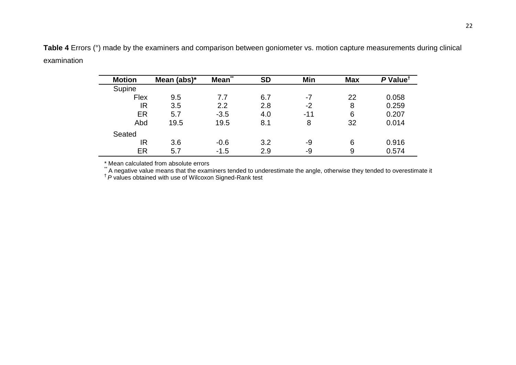**Table 4** Errors (°) made by the examiners and comparison between goniometer vs. motion capture measurements during clinical examination

| <b>Motion</b> | Mean (abs)* | Mean <sup>**</sup> | <b>SD</b> | Min   | <b>Max</b> | P Value <sup>t</sup> |  |  |
|---------------|-------------|--------------------|-----------|-------|------------|----------------------|--|--|
| Supine        |             |                    |           |       |            |                      |  |  |
| Flex          | 9.5         | 7.7                | 6.7       | -7    | 22         | 0.058                |  |  |
| IR            | 3.5         | 2.2                | 2.8       | $-2$  | 8          | 0.259                |  |  |
| ER            | 5.7         | $-3.5$             | 4.0       | $-11$ | 6          | 0.207                |  |  |
| Abd           | 19.5        | 19.5               | 8.1       | 8     | 32         | 0.014                |  |  |
| Seated        |             |                    |           |       |            |                      |  |  |
| IR            | 3.6         | $-0.6$             | 3.2       | -9    | 6          | 0.916                |  |  |
| ER            | 5.7         | $-1.5$             | 2.9       | -9    | 9          | 0.574                |  |  |

\* Mean calculated from absolute errors

\*\* A negative value means that the examiners tended to underestimate the angle, otherwise they tended to overestimate it

† *P* values obtained with use of Wilcoxon Signed-Rank test